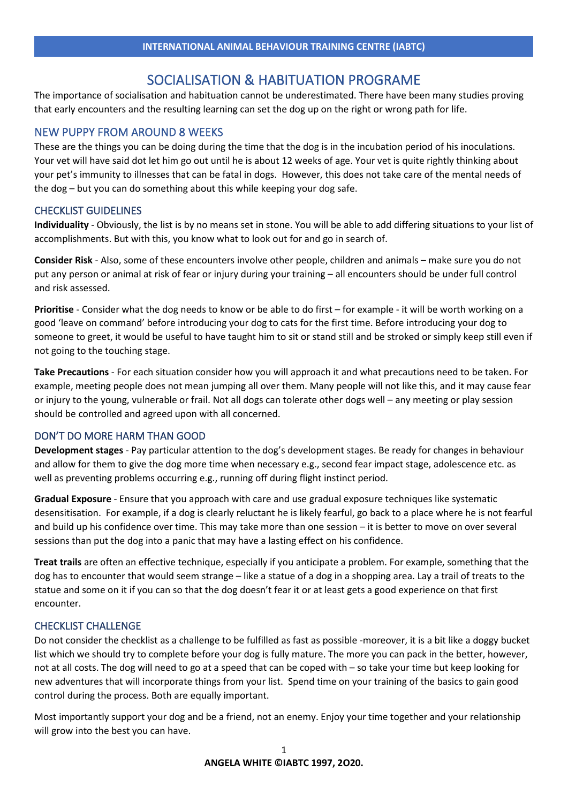# SOCIALISATION & HABITUATION PROGRAME

The importance of socialisation and habituation cannot be underestimated. There have been many studies proving that early encounters and the resulting learning can set the dog up on the right or wrong path for life.

#### NEW PUPPY FROM AROUND 8 WEEKS

These are the things you can be doing during the time that the dog is in the incubation period of his inoculations. Your vet will have said dot let him go out until he is about 12 weeks of age. Your vet is quite rightly thinking about your pet's immunity to illnesses that can be fatal in dogs. However, this does not take care of the mental needs of the dog – but you can do something about this while keeping your dog safe.

#### CHECKLIST GUIDELINES

**Individuality** - Obviously, the list is by no means set in stone. You will be able to add differing situations to your list of accomplishments. But with this, you know what to look out for and go in search of.

**Consider Risk** - Also, some of these encounters involve other people, children and animals – make sure you do not put any person or animal at risk of fear or injury during your training – all encounters should be under full control and risk assessed.

**Prioritise** - Consider what the dog needs to know or be able to do first – for example - it will be worth working on a good 'leave on command' before introducing your dog to cats for the first time. Before introducing your dog to someone to greet, it would be useful to have taught him to sit or stand still and be stroked or simply keep still even if not going to the touching stage.

**Take Precautions** - For each situation consider how you will approach it and what precautions need to be taken. For example, meeting people does not mean jumping all over them. Many people will not like this, and it may cause fear or injury to the young, vulnerable or frail. Not all dogs can tolerate other dogs well – any meeting or play session should be controlled and agreed upon with all concerned.

#### DON'T DO MORE HARM THAN GOOD

**Development stages** - Pay particular attention to the dog's development stages. Be ready for changes in behaviour and allow for them to give the dog more time when necessary e.g., second fear impact stage, adolescence etc. as well as preventing problems occurring e.g., running off during flight instinct period.

**Gradual Exposure** - Ensure that you approach with care and use gradual exposure techniques like systematic desensitisation. For example, if a dog is clearly reluctant he is likely fearful, go back to a place where he is not fearful and build up his confidence over time. This may take more than one session – it is better to move on over several sessions than put the dog into a panic that may have a lasting effect on his confidence.

**Treat trails** are often an effective technique, especially if you anticipate a problem. For example, something that the dog has to encounter that would seem strange – like a statue of a dog in a shopping area. Lay a trail of treats to the statue and some on it if you can so that the dog doesn't fear it or at least gets a good experience on that first encounter.

#### CHECKLIST CHALLENGE

Do not consider the checklist as a challenge to be fulfilled as fast as possible -moreover, it is a bit like a doggy bucket list which we should try to complete before your dog is fully mature. The more you can pack in the better, however, not at all costs. The dog will need to go at a speed that can be coped with – so take your time but keep looking for new adventures that will incorporate things from your list. Spend time on your training of the basics to gain good control during the process. Both are equally important.

Most importantly support your dog and be a friend, not an enemy. Enjoy your time together and your relationship will grow into the best you can have.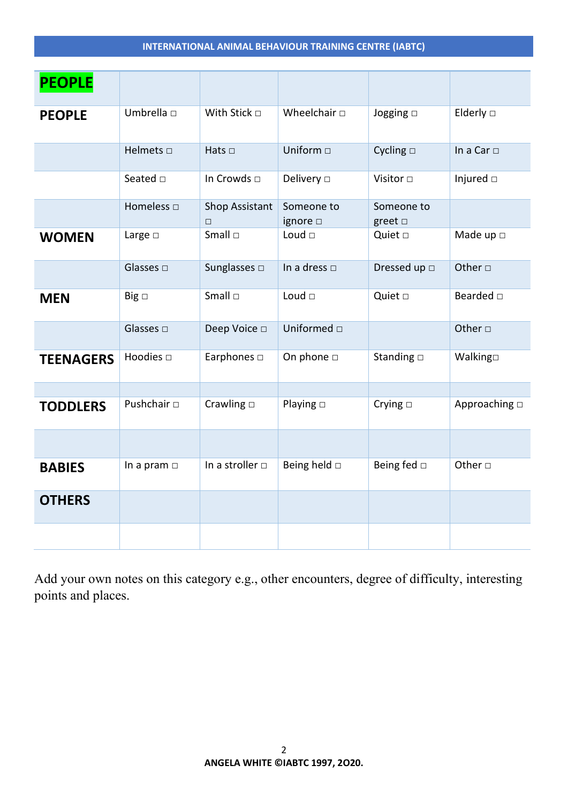| <b>PEOPLE</b>    |                    |                          |                                |                               |                    |
|------------------|--------------------|--------------------------|--------------------------------|-------------------------------|--------------------|
| <b>PEOPLE</b>    | Umbrella □         | With Stick $\Box$        | Wheelchair $\square$           | Jogging $\square$             | Elderly $\square$  |
|                  | Helmets $\square$  | Hats $\square$           | Uniform □                      | Cycling $\Box$                | In a Car $\Box$    |
|                  | Seated $\square$   | In Crowds □              | Delivery $\square$             | Visitor $\Box$                | Injured $\square$  |
|                  | Homeless $\square$ | Shop Assistant<br>$\Box$ | Someone to<br>ignore $\square$ | Someone to<br>greet $\square$ |                    |
| <b>WOMEN</b>     | Large $\square$    | Small $\square$          | Loud $\Box$                    | Quiet D                       | Made up $\Box$     |
|                  | Glasses $\square$  | Sunglasses $\square$     | In a dress $\Box$              | Dressed up $\Box$             | Other $\Box$       |
| <b>MEN</b>       | $Big \sqcup$       | Small $\square$          | Loud $\Box$                    | Quiet <sub>D</sub>            | Bearded $\square$  |
|                  | Glasses $\Box$     | Deep Voice $\square$     | Uniformed $\Box$               |                               | Other $\Box$       |
| <b>TEENAGERS</b> | Hoodies $\square$  | Earphones $\square$      | On phone $\square$             | Standing $\square$            | Walking            |
| <b>TODDLERS</b>  | Pushchair $\Box$   | Crawling $\Box$          | Playing $\Box$                 | Crying $\Box$                 | Approaching $\Box$ |
|                  |                    |                          |                                |                               |                    |
| <b>BABIES</b>    | In a pram $\Box$   | In a stroller $\Box$     | Being held $\square$           | Being fed $\square$           | Other $\square$    |
| <b>OTHERS</b>    |                    |                          |                                |                               |                    |
|                  |                    |                          |                                |                               |                    |

Add your own notes on this category e.g., other encounters, degree of difficulty, interesting points and places.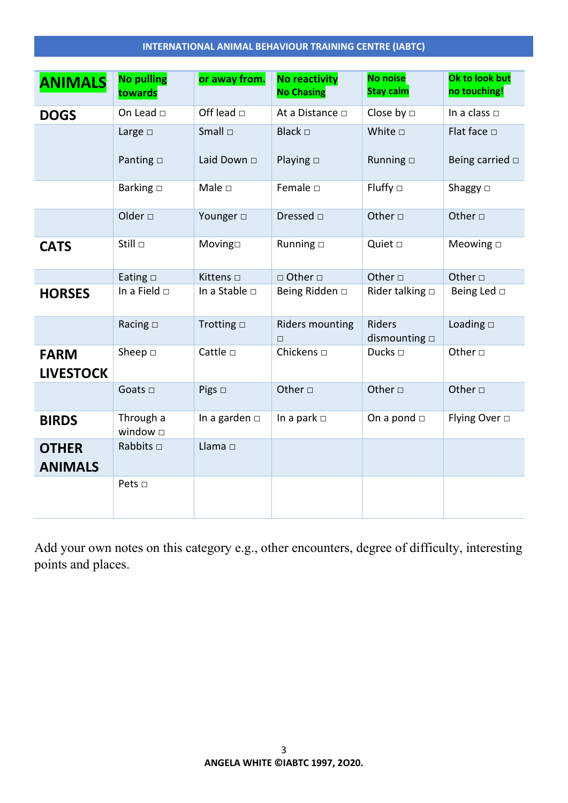| <b>ANIMALS</b>                  | <b>No pulling</b><br>towards  | or away from.         | <b>No reactivity</b><br><b>No Chasing</b> | <b>No noise</b><br><b>Stay calm</b> | Ok to look but<br>no touching! |
|---------------------------------|-------------------------------|-----------------------|-------------------------------------------|-------------------------------------|--------------------------------|
| <b>DOGS</b>                     | On Lead $\square$             | Off lead $\square$    | At a Distance $\Box$                      | Close by $\Box$                     | In a class $\square$           |
|                                 | Large $\square$               | Small $\square$       | Black $\Box$                              | White $\square$                     | Flat face $\square$            |
|                                 | Panting $\Box$                | Laid Down $\Box$      | Playing $\square$                         | Running $\Box$                      | Being carried $\square$        |
|                                 | Barking $\square$             | Male $\square$        | Female D                                  | Fluffy $\Box$                       | Shaggy $\square$               |
|                                 | Older <sub>D</sub>            | Younger $\Box$        | Dressed $\Box$                            | Other $\square$                     | Other $\square$                |
| <b>CATS</b>                     | Still □                       | Moving                | Running $\Box$                            | Quiet <sub>D</sub>                  | Meowing $\square$              |
|                                 | Eating $\square$              | Kittens □             | □ Other □                                 | Other $\square$                     | Other $\square$                |
| <b>HORSES</b>                   | In a Field $\square$          | In a Stable $\square$ | Being Ridden □                            | Rider talking $\square$             | Being Led $\square$            |
|                                 | Racing $\square$              | Trotting $\Box$       | <b>Riders mounting</b><br>$\Box$          | Riders<br>dismounting $\Box$        | Loading $\square$              |
| <b>FARM</b><br><b>LIVESTOCK</b> | Sheep $\Box$                  | Cattle $\square$      | Chickens $\Box$                           | Ducks $\square$                     | Other $\square$                |
|                                 | Goats $\square$               | Pigs $\Box$           | Other $\square$                           | Other $\square$                     | Other $\Box$                   |
| <b>BIRDS</b>                    | Through a<br>window $\square$ | In a garden $\square$ | In a park $\Box$                          | On a pond $\Box$                    | Flying Over $\Box$             |
| <b>OTHER</b><br><b>ANIMALS</b>  | Rabbits $\square$             | Llama $\Box$          |                                           |                                     |                                |
|                                 | Pets $\Box$                   |                       |                                           |                                     |                                |

Add your own notes on this category e.g., other encounters, degree of difficulty, interesting points and places.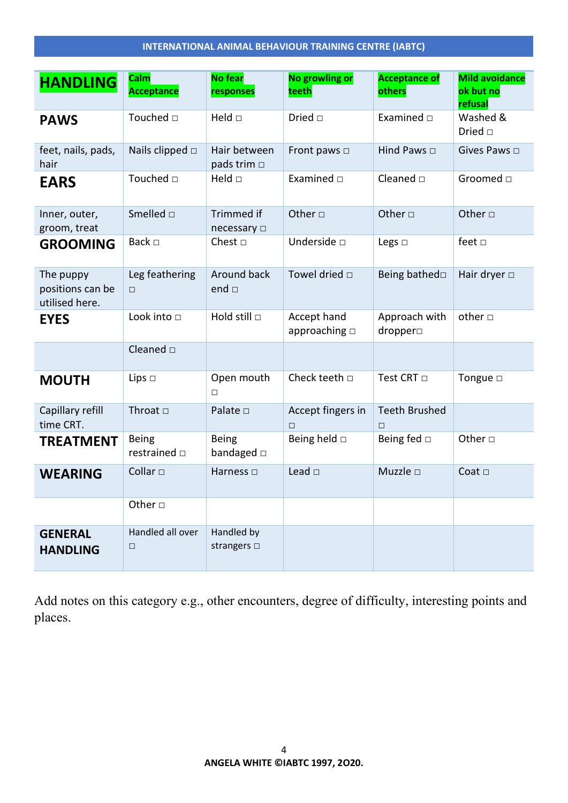| <b>HANDLING</b>                                 | <b>Calm</b><br><b>Acceptance</b>     | <b>No fear</b><br>responses        | No growling or<br>teeth              | <b>Acceptance of</b><br>others | <b>Mild avoidance</b><br>ok but no<br>refusal |
|-------------------------------------------------|--------------------------------------|------------------------------------|--------------------------------------|--------------------------------|-----------------------------------------------|
| <b>PAWS</b>                                     | Touched $\Box$                       | Held $\square$                     | Dried $\square$                      | Examined $\Box$                | Washed &<br>Dried $\Box$                      |
| feet, nails, pads,<br>hair                      | Nails clipped $\Box$                 | Hair between<br>pads trim $\Box$   | Front paws $\Box$                    | Hind Paws □                    | Gives Paws □                                  |
| <b>EARS</b>                                     | Touched $\Box$                       | Held $\square$                     | Examined $\square$                   | Cleaned $\square$              | Groomed $\square$                             |
| Inner, outer,<br>groom, treat                   | Smelled $\Box$                       | Trimmed if<br>necessary $\square$  | Other $\square$                      | Other $\square$                | Other $\square$                               |
| <b>GROOMING</b>                                 | Back $\square$                       | Chest $\Box$                       | Underside □                          | Legs $\square$                 | feet $\square$                                |
| The puppy<br>positions can be<br>utilised here. | Leg feathering<br>$\Box$             | Around back<br>end $\Box$          | Towel dried $\square$                | Being bathed                   | Hair dryer $\square$                          |
| <b>EYES</b>                                     | Look into $\square$                  | Hold still $\square$               | Accept hand<br>approaching $\square$ | Approach with<br>dropper       | other $\square$                               |
|                                                 | Cleaned $\square$                    |                                    |                                      |                                |                                               |
| <b>MOUTH</b>                                    | Lips $\Box$                          | Open mouth<br>□                    | Check teeth □                        | Test CRT □                     | Tongue $\square$                              |
| Capillary refill<br>time CRT.                   | Throat $\Box$                        | Palate □                           | Accept fingers in<br>$\Box$          | <b>Teeth Brushed</b><br>П      |                                               |
| <b>TREATMENT</b>                                | <b>Being</b><br>restrained $\square$ | <b>Being</b><br>bandaged $\square$ | Being held $\Box$                    | Being fed $\Box$               | Other $\square$                               |
| <b>WEARING</b>                                  | Collar $\Box$                        | Harness $\Box$                     | Lead $\square$                       | Muzzle □                       | Coat $\Box$                                   |
|                                                 | Other $\Box$                         |                                    |                                      |                                |                                               |
| <b>GENERAL</b><br><b>HANDLING</b>               | Handled all over<br>$\Box$           | Handled by<br>strangers $\square$  |                                      |                                |                                               |

Add notes on this category e.g., other encounters, degree of difficulty, interesting points and places.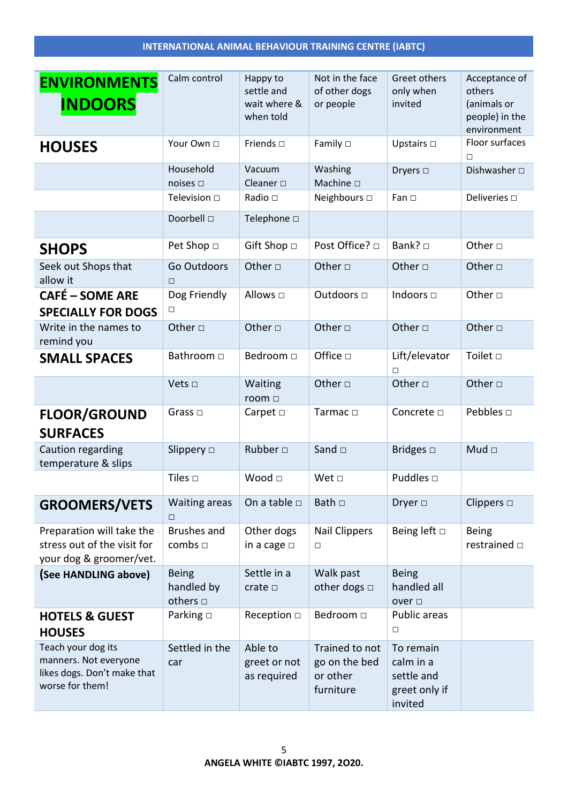| <b>ENVIRONMENTS</b><br><b>INDOORS</b>                                                         | Calm control                                   | Happy to<br>settle and<br>wait where &<br>when told | Not in the face<br>of other dogs<br>or people            | Greet others<br>only when<br>invited                             | Acceptance of<br>others<br>(animals or<br>people) in the<br>environment |
|-----------------------------------------------------------------------------------------------|------------------------------------------------|-----------------------------------------------------|----------------------------------------------------------|------------------------------------------------------------------|-------------------------------------------------------------------------|
| <b>HOUSES</b>                                                                                 | Your Own □                                     | Friends $\square$                                   | Family $\square$                                         | Upstairs $\square$                                               | Floor surfaces<br>П                                                     |
|                                                                                               | Household<br>noises $\square$                  | Vacuum<br>Cleaner $\square$                         | Washing<br>Machine $\square$                             | Dryers □                                                         | Dishwasher $\square$                                                    |
|                                                                                               | Television □                                   | Radio □                                             | Neighbours □                                             | Fan $\square$                                                    | Deliveries $\square$                                                    |
|                                                                                               | Doorbell $\square$                             | Telephone □                                         |                                                          |                                                                  |                                                                         |
| <b>SHOPS</b>                                                                                  | Pet Shop □                                     | Gift Shop □                                         | Post Office? □                                           | Bank? $\square$                                                  | Other $\Box$                                                            |
| Seek out Shops that<br>allow it                                                               | <b>Go Outdoors</b><br>$\Box$                   | Other $\Box$                                        | Other $\Box$                                             | Other $\square$                                                  | Other $\Box$                                                            |
| <b>CAFÉ - SOME ARE</b><br><b>SPECIALLY FOR DOGS</b>                                           | Dog Friendly<br>$\Box$                         | Allows $\square$                                    | Outdoors □                                               | Indoors $\Box$                                                   | Other $\square$                                                         |
| Write in the names to<br>remind you                                                           | Other $\square$                                | Other $\square$                                     | Other $\square$                                          | Other □                                                          | Other $\Box$                                                            |
| <b>SMALL SPACES</b>                                                                           | Bathroom $\Box$                                | Bedroom □                                           | Office □                                                 | Lift/elevator<br>$\Box$                                          | Toilet $\square$                                                        |
|                                                                                               | Vets $\Box$                                    | Waiting<br>room $\Box$                              | Other $\square$                                          | Other $\square$                                                  | Other $\square$                                                         |
| <b>FLOOR/GROUND</b><br><b>SURFACES</b>                                                        | Grass $\Box$                                   | Carpet $\square$                                    | Tarmac $\Box$                                            | Concrete $\square$                                               | Pebbles □                                                               |
| Caution regarding<br>temperature & slips                                                      | Slippery $\Box$                                | Rubber $\Box$                                       | Sand $\square$                                           | Bridges $\Box$                                                   | Mud $\Box$                                                              |
|                                                                                               | Tiles $\square$                                | Wood □                                              | Wet $\square$                                            | Puddles □                                                        |                                                                         |
| <b>GROOMERS/VETS</b>                                                                          | <b>Waiting areas</b><br>П                      | On a table $\square$                                | Bath $\Box$                                              | Dryer $\square$                                                  | Clippers $\Box$                                                         |
| Preparation will take the<br>stress out of the visit for<br>your dog & groomer/vet.           | <b>Brushes and</b><br>combs $\square$          | Other dogs<br>in a cage $\square$                   | <b>Nail Clippers</b><br>□                                | Being left $\square$                                             | <b>Being</b><br>restrained $\square$                                    |
| (See HANDLING above)                                                                          | <b>Being</b><br>handled by<br>others $\square$ | Settle in a<br>crate $\square$                      | Walk past<br>other dogs $\Box$                           | <b>Being</b><br>handled all<br>over $\square$                    |                                                                         |
| <b>HOTELS &amp; GUEST</b><br><b>HOUSES</b>                                                    | Parking $\square$                              | Reception $\square$                                 | Bedroom $\Box$                                           | Public areas<br>$\Box$                                           |                                                                         |
| Teach your dog its<br>manners. Not everyone<br>likes dogs. Don't make that<br>worse for them! | Settled in the<br>car                          | Able to<br>greet or not<br>as required              | Trained to not<br>go on the bed<br>or other<br>furniture | To remain<br>calm in a<br>settle and<br>greet only if<br>invited |                                                                         |